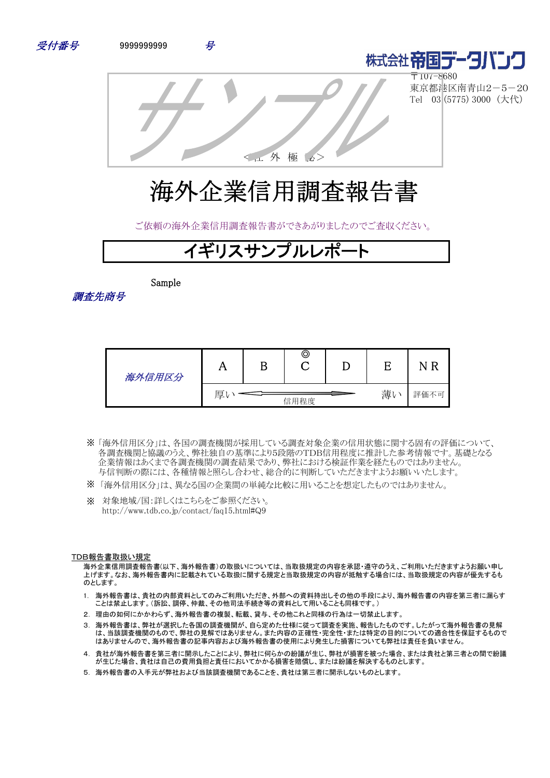



〒107-8680 東京都港区南青山2-5-20 Tel 03 (5775) 3000 (大代)

<社 外 極 秘>

# 海外企業信用調査報告書

ご依頼の海外企業信用調査報告書ができあがりましたのでご査収ください。

# **゙ギリスサンプルレポ**

Sample

調査先商号

| 海外信用区分 |   | Β | ©    |   |      |
|--------|---|---|------|---|------|
|        | 厚 |   | 信用程度 | 薄 | 評価不可 |

- 「海外信用区分」は、各国の調査機関が採用している調査対象企業の信用状態に関する固有の評価について、 ※ 各調査機関と協議のうえ、弊社独自の基準により5段階のTDB信用程度に推計した参考情報です。基礎となる 企業情報はあくまで各調査機関の調査結果であり、弊社における検証作業を経たものではありません。 与信判断の際には、各種情報と照らし合わせ、総合的に判断していただきますようお願いいたします。
- ※ 「海外信用区分」は、異なる国の企業間の単純な比較に用いることを想定したものではありません。
- ※ 対象地域/国:詳しくはこちらをご参照ください。 http://www.tdb.co.jp/contact/faq15.html#Q9

#### TDB報告書取扱い規定

海外企業信用調査報告書(以下、海外報告書)の取扱いについては、当取扱規定の内容を承認・遵守のうえ、ご利用いただきますようお願い申し 上げます。なお、海外報告書内に記載されている取扱に関する規定と当取扱規定の内容が抵触する場合には、当取扱規定の内容が優先するも のとします。

- 1. 海外報告書は、貴社の内部資料としてのみご利用いただき、外部への資料持出しその他の手段により、海外報告書の内容を第三者に漏らす ことは禁止します。(訴訟、調停、仲裁、その他司法手続き等の資料として用いることも同様です。)
- 2. 理由の如何にかかわらず、海外報告書の複製、転載、貸与、その他これと同様の行為は一切禁止します。
- 3. 海外報告書は、弊社が選択した各国の調査機関が、自ら定めた仕様に従って調査を実施、報告したものです。したがって海外報告書の見解 は、当該調査機関のもので、弊社の見解ではありません。また内容の正確性・完全性・または特定の目的についての適合性を保証するもので はありませんので、海外報告書の記事内容および海外報告書の使用により発生した損害についても弊社は責任を負いません。
- 4. 貴社が海外報告書を第三者に開示したことにより、弊社に何らかの紛議が生じ、弊社が損害を被った場合、または貴社と第三者との間で紛議 が生じた場合、貴社は自己の費用負担と責任においてかかる損害を賠償し、または紛議を解決するものとします。
- 5. 海外報告書の入手元が弊社および当該調査機関であることを、貴社は第三者に開示しないものとします。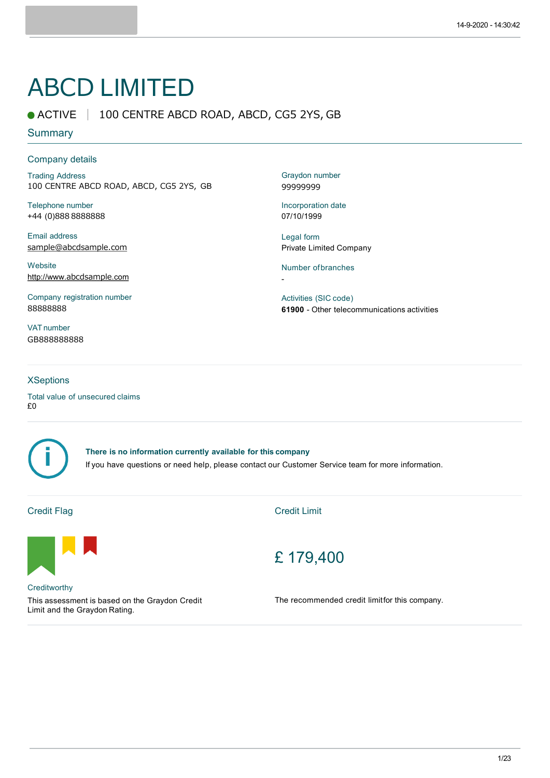# ABCD LIMITED

# ● ACTIVE | 100 CENTRE ABCD ROAD, ABCD, CG5 2YS, GB

### **Summary**

#### Company details

Trading Address 100 CENTRE ABCD ROAD, ABCD, CG5 2YS, GB

Telephone number +44 (0)888 8888888

Email address sample@abcdsample.com

**Website** http://www.abcdsample.com

Company registration number 88888888

VAT number GB888888888

#### **XSeptions**

Total value of unsecured claims £0



**There is no information currently available for this company** If you have questions or need help, please contact our Customer Service team for more information.

# Credit Flag

Credit Limit



**Creditworthy** 

This assessment is based on the Graydon Credit Limit and the Graydon Rating.

# £ 179,400

The recommended credit limitfor this company.

Graydon number 99999999

Incorporation date 07/10/1999

Legal form Private Limited Company

Number ofbranches

-

Activities (SIC code) **61900** - Other telecommunications activities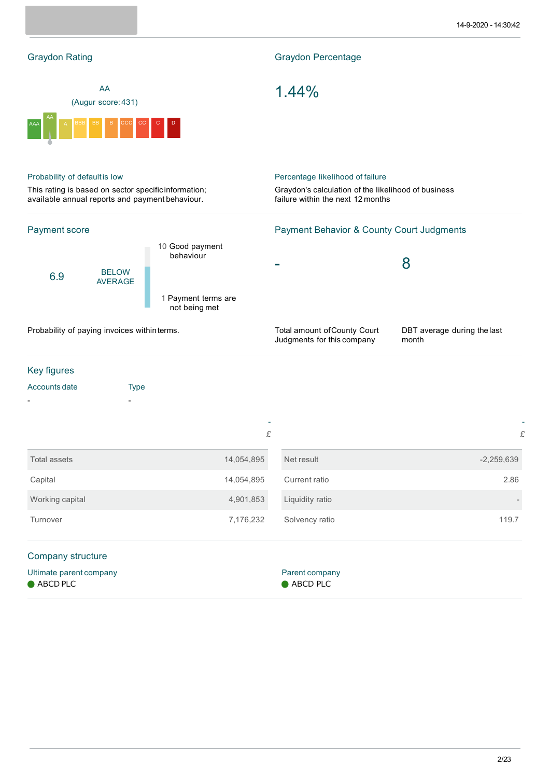| <b>Graydon Rating</b>                                                                                   |                                              |                                      | <b>Graydon Percentage</b>                                                                |                                                            |                                      |  |
|---------------------------------------------------------------------------------------------------------|----------------------------------------------|--------------------------------------|------------------------------------------------------------------------------------------|------------------------------------------------------------|--------------------------------------|--|
| AA<br>(Augur score: 431)                                                                                |                                              |                                      |                                                                                          | 1.44%                                                      |                                      |  |
|                                                                                                         |                                              |                                      |                                                                                          |                                                            |                                      |  |
| Probability of defaultis low                                                                            |                                              |                                      |                                                                                          | Percentage likelihood of failure                           |                                      |  |
| This rating is based on sector specific information;<br>available annual reports and payment behaviour. |                                              |                                      | Graydon's calculation of the likelihood of business<br>failure within the next 12 months |                                                            |                                      |  |
| Payment score                                                                                           |                                              |                                      |                                                                                          | <b>Payment Behavior &amp; County Court Judgments</b>       |                                      |  |
|                                                                                                         |                                              | 10 Good payment<br>behaviour         |                                                                                          |                                                            |                                      |  |
| 6.9                                                                                                     | <b>BELOW</b><br><b>AVERAGE</b>               |                                      |                                                                                          |                                                            | 8                                    |  |
|                                                                                                         |                                              | 1 Payment terms are<br>not being met |                                                                                          |                                                            |                                      |  |
|                                                                                                         | Probability of paying invoices within terms. |                                      |                                                                                          | Total amount of County Court<br>Judgments for this company | DBT average during the last<br>month |  |
| Key figures                                                                                             |                                              |                                      |                                                                                          |                                                            |                                      |  |
| Accounts date                                                                                           | <b>Type</b>                                  |                                      |                                                                                          |                                                            |                                      |  |
|                                                                                                         |                                              |                                      |                                                                                          |                                                            |                                      |  |
|                                                                                                         |                                              |                                      | £                                                                                        |                                                            | £                                    |  |
| <b>Total assets</b>                                                                                     |                                              | 14,054,895                           |                                                                                          | Net result                                                 | $-2,259,639$                         |  |
| Capital                                                                                                 |                                              | 14,054,895                           |                                                                                          | Current ratio                                              | 2.86                                 |  |
| Working capital                                                                                         |                                              | 4,901,853                            |                                                                                          | Liquidity ratio                                            |                                      |  |
| Turnover                                                                                                |                                              | 7,176,232                            |                                                                                          | Solvency ratio                                             | 119.7                                |  |
| Company structure                                                                                       |                                              |                                      |                                                                                          |                                                            |                                      |  |
| Ultimate parent company<br>ABCD PLC                                                                     |                                              |                                      |                                                                                          | Parent company<br>ABCD PLC                                 |                                      |  |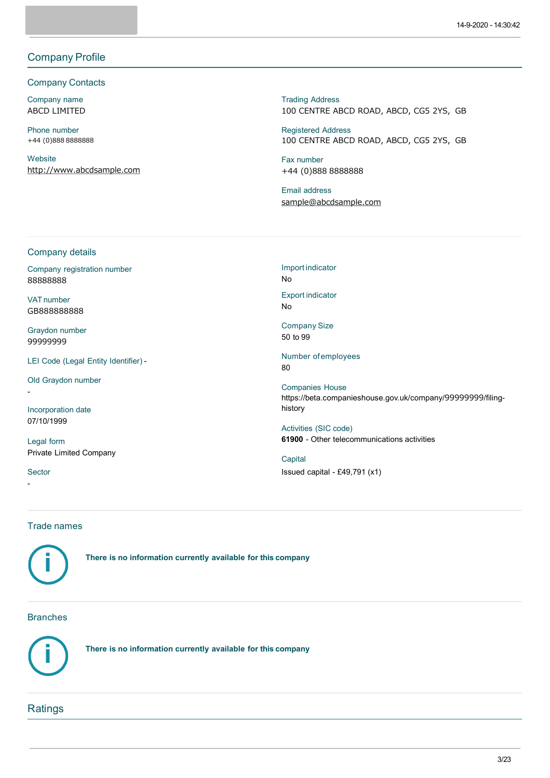# Company Profile

#### Company Contacts

Company name ABCD LIMITED

Phone number +44 (0)888 8888888

**Website** http://www.abcdsample.com Trading Address 100 CENTRE ABCD ROAD, ABCD, CG5 2YS, GB

Registered Address 100 CENTRE ABCD ROAD, ABCD, CG5 2YS, GB

Fax number +44 (0)888 8888888

Email address sample@abcdsample.com

#### Company details

Company registration number 88888888

VAT number GB888888888

Graydon number 99999999

LEI Code (Legal Entity Identifier) -

Old Graydon number

Incorporation date 07/10/1999

Legal form Private Limited Company

**Sector** 

-

-

Import indicator No Export indicator

No

Company Size 50 to 99

Number ofemployees 80

Companies House https://beta.companieshouse.gov.uk/company/99999999/filinghistory

Activities (SIC code) **61900** - Other telecommunications activities

**Capital** Issued capital - £49,791 (x1)

#### Trade names



**There is no information currently available for this company**

#### Branches



**There is no information currently available for this company**

# **Ratings**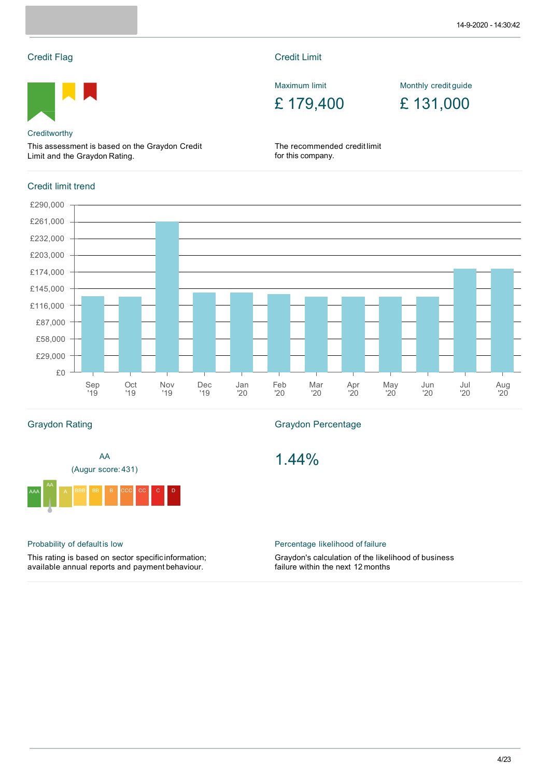# Credit Flag



#### **Creditworthy**

This assessment is based on the Graydon Credit Limit and the Graydon Rating.

# Credit limit trend



Maximum limit

£ 179,400

Monthly credit guide

£ 131,000

The recommended credit limit for this company.



# Graydon Rating



# Probability of defaultis low

This rating is based on sector specificinformation; available annual reports and payment behaviour.

#### Graydon Percentage

1.44%

#### Percentage likelihood of failure

Graydon's calculation of the likelihood of business failure within the next 12 months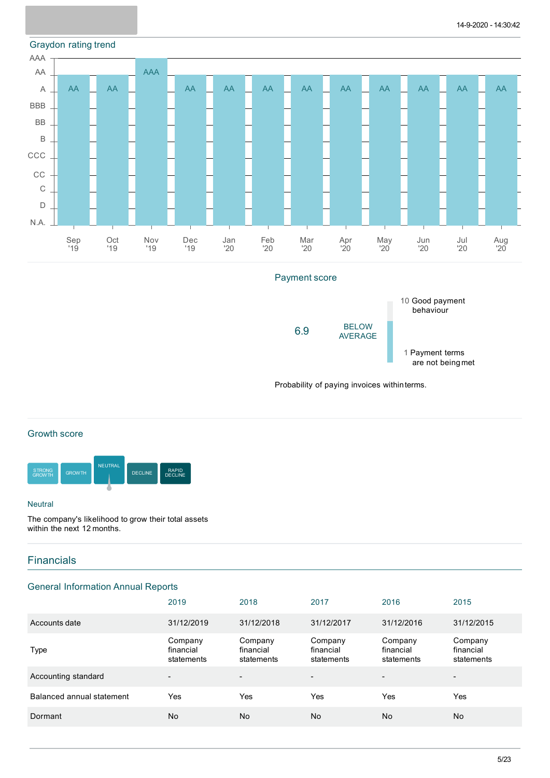### Graydon rating trend



### Payment score



Probability of paying invoices withinterms.

# Growth score



#### **Neutral**

The company's likelihood to grow their total assets within the next 12 months.

# **Financials**

# General Information Annual Reports

|                           | 2019                               | 2018                               | 2017                               | 2016                               | 2015                               |
|---------------------------|------------------------------------|------------------------------------|------------------------------------|------------------------------------|------------------------------------|
| Accounts date             | 31/12/2019                         | 31/12/2018                         | 31/12/2017                         | 31/12/2016                         | 31/12/2015                         |
| <b>Type</b>               | Company<br>financial<br>statements | Company<br>financial<br>statements | Company<br>financial<br>statements | Company<br>financial<br>statements | Company<br>financial<br>statements |
| Accounting standard       | $\overline{\phantom{a}}$           | $\overline{\phantom{a}}$           | $\overline{\phantom{0}}$           | $\overline{\phantom{0}}$           | $\overline{\phantom{a}}$           |
| Balanced annual statement | Yes                                | Yes                                | Yes                                | Yes                                | Yes                                |
| Dormant                   | No                                 | No                                 | No                                 | No                                 | <b>No</b>                          |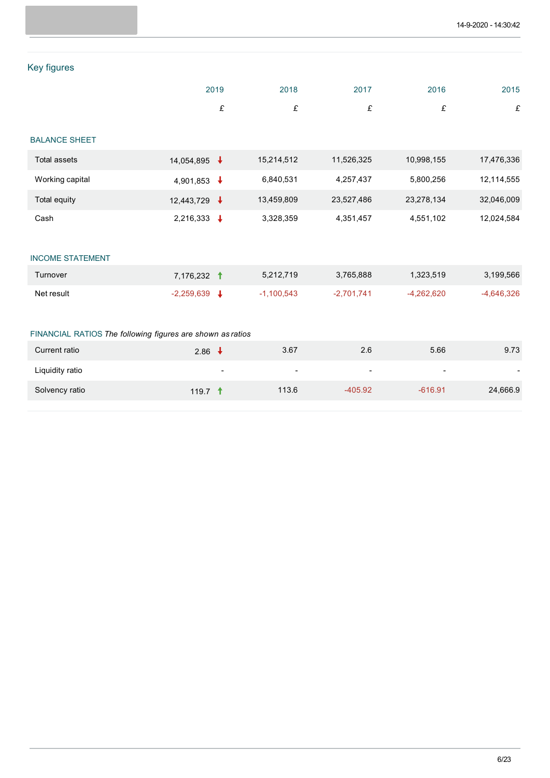# Key figures

|  |  | 2019 2018 2017 2016 2015 |  |
|--|--|--------------------------|--|
|  |  |                          |  |

# BALANCE SHEET

| Total assets    | 14,054,895             | 15,214,512 | 11.526.325 | 10,998,155 | 17,476,336 |
|-----------------|------------------------|------------|------------|------------|------------|
| Working capital | 4,901,853 $\downarrow$ | 6,840,531  | 4.257.437  | 5,800,256  | 12,114,555 |
| Total equity    | 12,443,729             | 13,459,809 | 23,527,486 | 23,278,134 | 32,046,009 |
| Cash            | 2,216,333              | 3,328,359  | 4,351,457  | 4,551,102  | 12,024,584 |

# INCOME STATEMENT

| Turnover   | 7.176.232 1  | 5.212.719    | 3.765.888    | 1.323.519    | 3,199,566  |
|------------|--------------|--------------|--------------|--------------|------------|
| Net result | $-2.259.639$ | $-1.100.543$ | $-2.701.741$ | $-4.262.620$ | -4,646,326 |

### FINANCIAL RATIOS *The following figures are shown as ratios*

| Current ratio   | 2.86                     | 3.67   | 2.6            | 5.66                     | 9.73     |
|-----------------|--------------------------|--------|----------------|--------------------------|----------|
| Liquidity ratio | $\overline{\phantom{0}}$ | $\sim$ | $\overline{a}$ | $\overline{\phantom{0}}$ |          |
| Solvency ratio  | 119.7 $\dagger$          | 113.6  | $-405.92$      | $-616.91$                | 24,666.9 |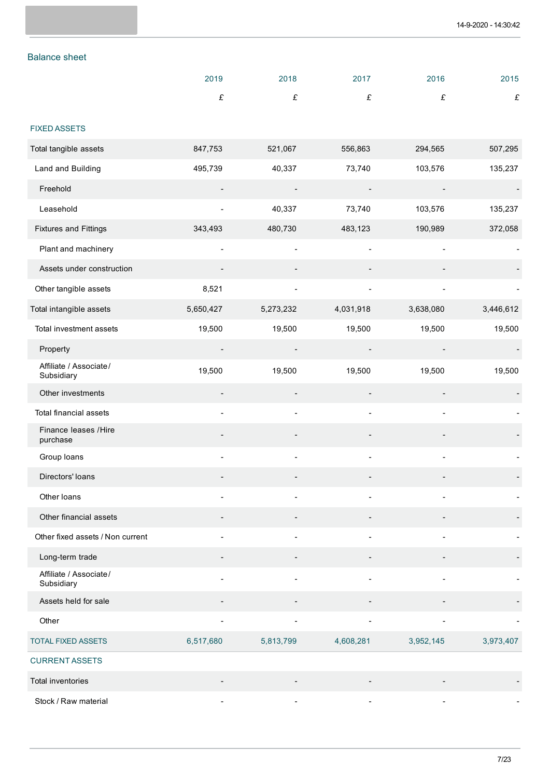# Balance sheet

|                                      | 2019      | 2018      | 2017      | 2016      | 2015      |
|--------------------------------------|-----------|-----------|-----------|-----------|-----------|
|                                      | $\pounds$ | £         | £         | £         | £         |
|                                      |           |           |           |           |           |
| <b>FIXED ASSETS</b>                  |           |           |           |           |           |
| Total tangible assets                | 847,753   | 521,067   | 556,863   | 294,565   | 507,295   |
| Land and Building                    | 495,739   | 40,337    | 73,740    | 103,576   | 135,237   |
| Freehold                             |           |           |           |           |           |
| Leasehold                            |           | 40,337    | 73,740    | 103,576   | 135,237   |
| <b>Fixtures and Fittings</b>         | 343,493   | 480,730   | 483,123   | 190,989   | 372,058   |
| Plant and machinery                  |           |           |           |           |           |
| Assets under construction            |           |           |           |           |           |
| Other tangible assets                | 8,521     |           |           |           |           |
| Total intangible assets              | 5,650,427 | 5,273,232 | 4,031,918 | 3,638,080 | 3,446,612 |
| Total investment assets              | 19,500    | 19,500    | 19,500    | 19,500    | 19,500    |
| Property                             |           |           |           |           |           |
| Affiliate / Associate/<br>Subsidiary | 19,500    | 19,500    | 19,500    | 19,500    | 19,500    |
| Other investments                    |           |           |           |           |           |
| Total financial assets               | ٠         |           |           | -         |           |
| Finance leases / Hire<br>purchase    |           |           |           |           |           |
| Group loans                          | ä,        |           |           |           |           |
| Directors' loans                     |           |           |           |           |           |
| Other loans                          |           |           |           |           |           |
| Other financial assets               |           |           |           |           |           |
| Other fixed assets / Non current     |           |           |           |           |           |
| Long-term trade                      |           |           |           |           |           |
| Affiliate / Associate/<br>Subsidiary |           |           |           |           |           |
| Assets held for sale                 |           |           |           |           |           |
| Other                                |           |           |           |           |           |
| <b>TOTAL FIXED ASSETS</b>            | 6,517,680 | 5,813,799 | 4,608,281 | 3,952,145 | 3,973,407 |
| <b>CURRENT ASSETS</b>                |           |           |           |           |           |
| Total inventories                    |           |           |           |           |           |
| Stock / Raw material                 |           |           |           |           |           |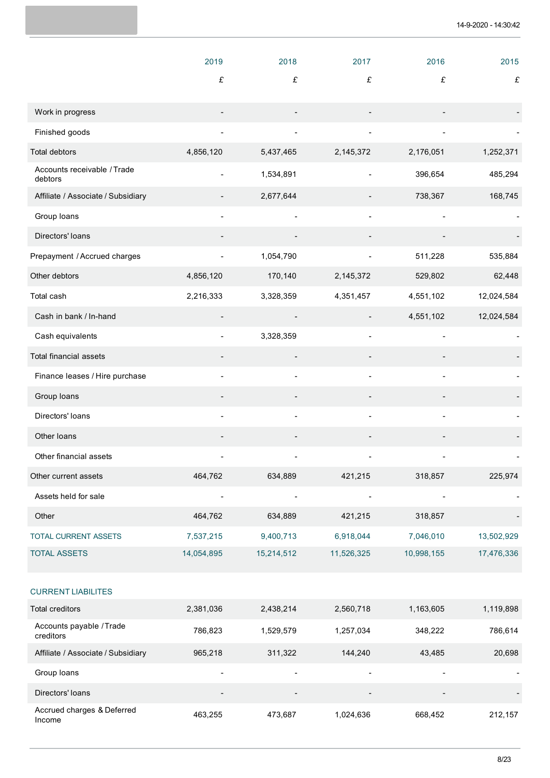|                                                    | 2019       | 2018                     | 2017       | 2016       | 2015       |
|----------------------------------------------------|------------|--------------------------|------------|------------|------------|
|                                                    | £          | £                        | £          | £          | £          |
|                                                    |            |                          |            |            |            |
| Work in progress                                   |            |                          |            |            |            |
| Finished goods                                     |            |                          |            |            |            |
| <b>Total debtors</b>                               | 4,856,120  | 5,437,465                | 2,145,372  | 2,176,051  | 1,252,371  |
| Accounts receivable / Trade<br>debtors             |            | 1,534,891                |            | 396,654    | 485,294    |
| Affiliate / Associate / Subsidiary                 |            | 2,677,644                |            | 738,367    | 168,745    |
| Group loans                                        |            |                          |            |            |            |
| Directors' loans                                   |            |                          |            |            |            |
| Prepayment / Accrued charges                       |            | 1,054,790                |            | 511,228    | 535,884    |
| Other debtors                                      | 4,856,120  | 170,140                  | 2,145,372  | 529,802    | 62,448     |
| Total cash                                         | 2,216,333  | 3,328,359                | 4,351,457  | 4,551,102  | 12,024,584 |
| Cash in bank / In-hand                             |            |                          |            | 4,551,102  | 12,024,584 |
| Cash equivalents                                   |            | 3,328,359                |            |            |            |
| Total financial assets                             |            |                          |            |            |            |
| Finance leases / Hire purchase                     |            |                          |            |            |            |
| Group loans                                        |            |                          |            |            |            |
| Directors' loans                                   |            |                          |            |            |            |
| Other loans                                        |            |                          |            |            |            |
| Other financial assets                             | -          |                          |            |            |            |
| Other current assets                               | 464,762    | 634,889                  | 421,215    | 318,857    | 225,974    |
| Assets held for sale                               |            |                          |            |            |            |
| Other                                              | 464,762    | 634,889                  | 421,215    | 318,857    |            |
| TOTAL CURRENT ASSETS                               | 7,537,215  | 9,400,713                | 6,918,044  | 7,046,010  | 13,502,929 |
| <b>TOTAL ASSETS</b>                                | 14,054,895 | 15,214,512               | 11,526,325 | 10,998,155 | 17,476,336 |
|                                                    |            |                          |            |            |            |
| <b>CURRENT LIABILITES</b>                          |            |                          |            |            |            |
| <b>Total creditors</b><br>Accounts payable / Trade | 2,381,036  | 2,438,214                | 2,560,718  | 1,163,605  | 1,119,898  |
| creditors                                          | 786,823    | 1,529,579                | 1,257,034  | 348,222    | 786,614    |
| Affiliate / Associate / Subsidiary                 | 965,218    | 311,322                  | 144,240    | 43,485     | 20,698     |
| Group loans                                        |            | $\overline{\phantom{a}}$ |            | ٠          |            |
| Directors' loans                                   |            |                          |            |            |            |
| Accrued charges & Deferred<br>Income               | 463,255    | 473,687                  | 1,024,636  | 668,452    | 212,157    |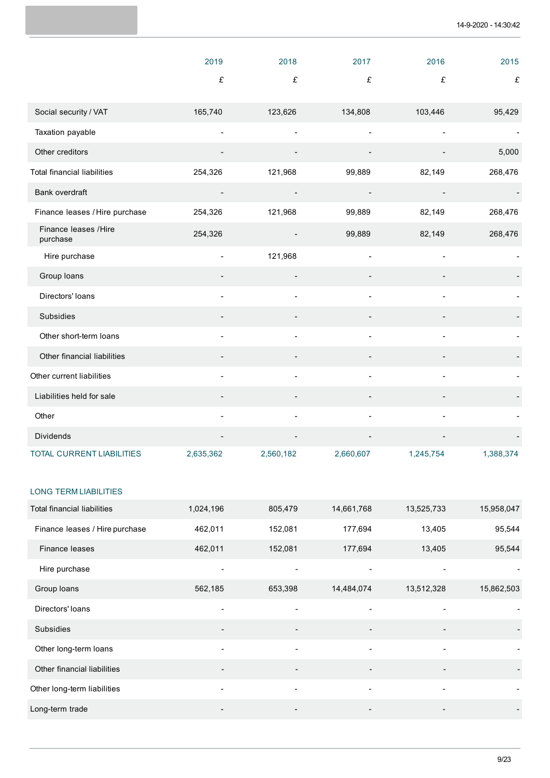|                                    | 2019                     | 2018           | 2017      | 2016      | 2015      |
|------------------------------------|--------------------------|----------------|-----------|-----------|-----------|
|                                    | £                        | £              | £         | £         | £         |
| Social security / VAT              | 165,740                  | 123,626        | 134,808   | 103,446   | 95,429    |
| Taxation payable                   | L,                       | $\blacksquare$ |           |           |           |
| Other creditors                    |                          |                |           |           | 5,000     |
| <b>Total financial liabilities</b> | 254,326                  | 121,968        | 99,889    | 82,149    | 268,476   |
| Bank overdraft                     |                          |                |           |           |           |
| Finance leases / Hire purchase     | 254,326                  | 121,968        | 99,889    | 82,149    | 268,476   |
| Finance leases / Hire<br>purchase  | 254,326                  |                | 99,889    | 82,149    | 268,476   |
| Hire purchase                      | $\overline{\phantom{a}}$ | 121,968        |           |           |           |
| Group loans                        |                          |                |           |           |           |
| Directors' loans                   |                          | $\blacksquare$ |           |           |           |
| Subsidies                          |                          |                |           |           |           |
| Other short-term loans             |                          |                |           |           |           |
| Other financial liabilities        |                          |                |           |           |           |
| Other current liabilities          |                          |                |           |           |           |
| Liabilities held for sale          |                          |                |           |           |           |
| Other                              | $\overline{a}$           | $\blacksquare$ |           |           |           |
| Dividends                          |                          |                |           |           |           |
| <b>TOTAL CURRENT LIABILITIES</b>   | 2,635,362                | 2,560,182      | 2,660,607 | 1,245,754 | 1,388,374 |

### LONG TERM LIABILITIES

| Total financial liabilities    | 1,024,196                | 805,479                  | 14,661,768 | 13,525,733               | 15,958,047 |
|--------------------------------|--------------------------|--------------------------|------------|--------------------------|------------|
| Finance leases / Hire purchase | 462,011                  | 152,081                  | 177,694    | 13,405                   | 95,544     |
| Finance leases                 | 462,011                  | 152,081                  | 177,694    | 13,405                   | 95,544     |
| Hire purchase                  | $\overline{\phantom{a}}$ | $\overline{\phantom{a}}$ |            |                          |            |
| Group loans                    | 562,185                  | 653,398                  | 14,484,074 | 13,512,328               | 15,862,503 |
| Directors' loans               | $\blacksquare$           | $\overline{a}$           |            |                          |            |
| <b>Subsidies</b>               | $\overline{\phantom{a}}$ | $\overline{\phantom{a}}$ |            | -                        |            |
| Other long-term loans          | $\overline{\phantom{a}}$ | $\overline{\phantom{a}}$ | ٠          | $\blacksquare$           | -          |
| Other financial liabilities    | $\overline{\phantom{a}}$ | $\overline{\phantom{a}}$ |            | $\overline{\phantom{a}}$ |            |
| Other long-term liabilities    |                          | $\overline{\phantom{a}}$ |            |                          |            |
| Long-term trade                |                          | $\overline{\phantom{a}}$ |            |                          |            |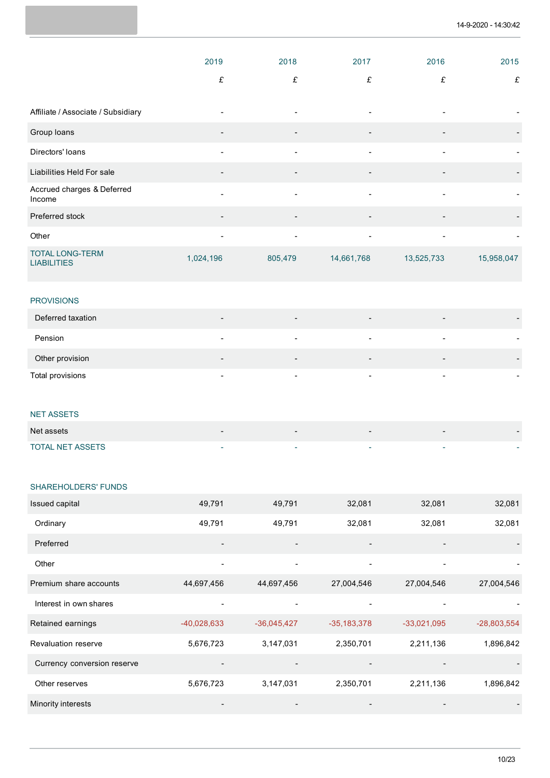|                                              | 2019                     | 2018                     | 2017                     | 2016                     | 2015                     |
|----------------------------------------------|--------------------------|--------------------------|--------------------------|--------------------------|--------------------------|
|                                              | £                        | £                        | £                        | £                        | £                        |
| Affiliate / Associate / Subsidiary           | $\overline{\phantom{a}}$ | $\overline{\phantom{a}}$ | ٠                        |                          |                          |
| Group loans                                  | $\blacksquare$           | $\overline{a}$           |                          |                          | $\overline{\phantom{a}}$ |
| Directors' loans                             | $\overline{\phantom{a}}$ | $\overline{\phantom{a}}$ | ٠                        | $\overline{\phantom{a}}$ | ۰                        |
| Liabilities Held For sale                    | $\blacksquare$           | $\overline{\phantom{a}}$ |                          |                          | $\overline{\phantom{a}}$ |
| Accrued charges & Deferred<br>Income         | $\blacksquare$           | $\overline{\phantom{a}}$ | $\overline{\phantom{a}}$ | $\overline{\phantom{a}}$ | $\overline{\phantom{a}}$ |
| Preferred stock                              | $\overline{\phantom{a}}$ | $\overline{\phantom{a}}$ |                          |                          | $\overline{\phantom{a}}$ |
| Other                                        | ٠                        | $\overline{\phantom{0}}$ | $\overline{\phantom{a}}$ |                          | $\overline{\phantom{a}}$ |
| <b>TOTAL LONG-TERM</b><br><b>LIABILITIES</b> | 1,024,196                | 805,479                  | 14,661,768               | 13,525,733               | 15,958,047               |

#### PROVISIONS

| Deferred taxation | $\overline{\phantom{0}}$ | $\overline{\phantom{a}}$ | $\overline{\phantom{a}}$ |                          |  |
|-------------------|--------------------------|--------------------------|--------------------------|--------------------------|--|
| Pension           | $\overline{\phantom{0}}$ | $\overline{\phantom{a}}$ | ۰                        | $\overline{\phantom{0}}$ |  |
| Other provision   | $\overline{\phantom{0}}$ | $\overline{\phantom{a}}$ | $\overline{\phantom{0}}$ |                          |  |
| Total provisions  |                          | $\overline{\phantom{a}}$ | $\overline{a}$           |                          |  |
|                   |                          |                          |                          |                          |  |
| <b>NET ASSETS</b> |                          |                          |                          |                          |  |

| Net assets              | $\,$                     |  |  |
|-------------------------|--------------------------|--|--|
| <b>TOTAL NET ASSETS</b> | $\overline{\phantom{0}}$ |  |  |

#### SHAREHOLDERS' FUNDS

| Issued capital              | 49,791                       | 49,791                   | 32,081                       | 32,081                   | 32,081        |
|-----------------------------|------------------------------|--------------------------|------------------------------|--------------------------|---------------|
| Ordinary                    | 49,791                       | 49,791                   | 32,081                       | 32,081                   | 32,081        |
| Preferred                   | $\overline{\phantom{a}}$     | $\overline{\phantom{a}}$ |                              |                          |               |
| Other                       | $\overline{\phantom{a}}$     | $\overline{\phantom{a}}$ |                              | $\overline{\phantom{a}}$ |               |
| Premium share accounts      | 44,697,456                   | 44,697,456               | 27,004,546                   | 27,004,546               | 27,004,546    |
| Interest in own shares      | $\overline{\phantom{a}}$     | $\overline{\phantom{a}}$ |                              | $\overline{\phantom{a}}$ |               |
| Retained earnings           | $-40,028,633$                | $-36,045,427$            | $-35,183,378$                | $-33,021,095$            | $-28,803,554$ |
| <b>Revaluation reserve</b>  | 5,676,723                    | 3,147,031                | 2,350,701                    | 2,211,136                | 1,896,842     |
| Currency conversion reserve | $\qquad \qquad \blacksquare$ | $\overline{\phantom{a}}$ | $\qquad \qquad \blacksquare$ | $\overline{\phantom{a}}$ |               |
| Other reserves              | 5,676,723                    | 3,147,031                | 2,350,701                    | 2,211,136                | 1,896,842     |
| <b>Minority interests</b>   | $\qquad \qquad \blacksquare$ | $\overline{\phantom{a}}$ |                              |                          |               |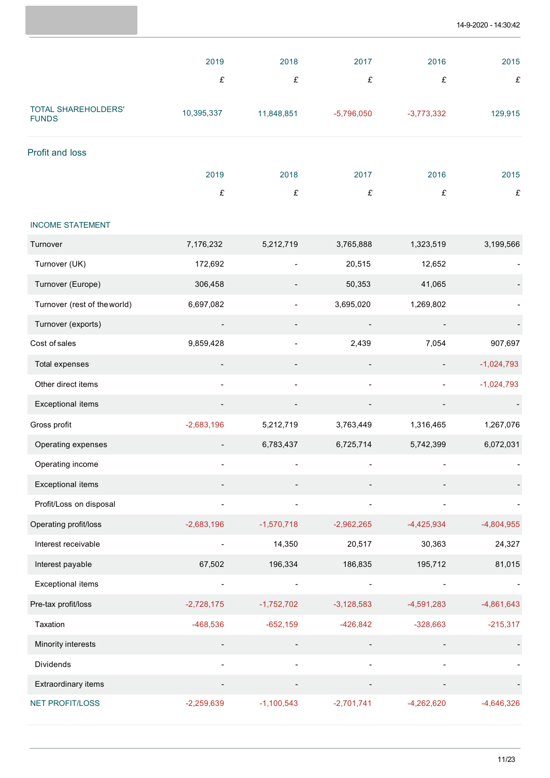|                                     | 2019                     | 2018         | 2017         | 2016         | 2015         |
|-------------------------------------|--------------------------|--------------|--------------|--------------|--------------|
|                                     | £                        | £            | £            | $\pounds$    | £            |
| TOTAL SHAREHOLDERS'<br><b>FUNDS</b> | 10,395,337               | 11,848,851   | $-5,796,050$ | $-3,773,332$ | 129,915      |
| Profit and loss                     |                          |              |              |              |              |
|                                     | 2019                     | 2018         | 2017         | 2016         | 2015         |
|                                     | £                        | £            | £            | $\pounds$    | £            |
| <b>INCOME STATEMENT</b>             |                          |              |              |              |              |
| Turnover                            | 7,176,232                | 5,212,719    | 3,765,888    | 1,323,519    | 3,199,566    |
| Turnover (UK)                       | 172,692                  |              | 20,515       | 12,652       |              |
| Turnover (Europe)                   | 306,458                  |              | 50,353       | 41,065       |              |
| Turnover (rest of the world)        | 6,697,082                |              | 3,695,020    | 1,269,802    |              |
| Turnover (exports)                  | $\overline{\phantom{a}}$ |              |              |              |              |
| Cost of sales                       | 9,859,428                |              | 2,439        | 7,054        | 907,697      |
| <b>Total expenses</b>               |                          |              |              |              | $-1,024,793$ |
| Other direct items                  | $\overline{\phantom{a}}$ |              |              |              | $-1,024,793$ |
| <b>Exceptional items</b>            |                          |              |              |              |              |
| Gross profit                        | $-2,683,196$             | 5,212,719    | 3,763,449    | 1,316,465    | 1,267,076    |
| Operating expenses                  |                          | 6,783,437    | 6,725,714    | 5,742,399    | 6,072,031    |
| Operating income                    |                          |              |              |              |              |
| <b>Exceptional items</b>            |                          |              |              |              |              |
| Profit/Loss on disposal             |                          |              |              |              |              |
| Operating profit/loss               | $-2,683,196$             | $-1,570,718$ | $-2,962,265$ | $-4,425,934$ | $-4,804,955$ |
| Interest receivable                 |                          | 14,350       | 20,517       | 30,363       | 24,327       |
| Interest payable                    | 67,502                   | 196,334      | 186,835      | 195,712      | 81,015       |
| <b>Exceptional items</b>            | $\overline{\phantom{0}}$ |              |              |              |              |
| Pre-tax profit/loss                 | $-2,728,175$             | $-1,752,702$ | $-3,128,583$ | $-4,591,283$ | $-4,861,643$ |
| Taxation                            | -468,536                 | $-652,159$   | $-426,842$   | $-328,663$   | $-215,317$   |
| Minority interests                  |                          |              |              |              |              |
| Dividends                           |                          |              |              |              |              |
| Extraordinary items                 |                          |              |              |              |              |
| <b>NET PROFIT/LOSS</b>              | $-2,259,639$             | $-1,100,543$ | $-2,701,741$ | $-4,262,620$ | $-4,646,326$ |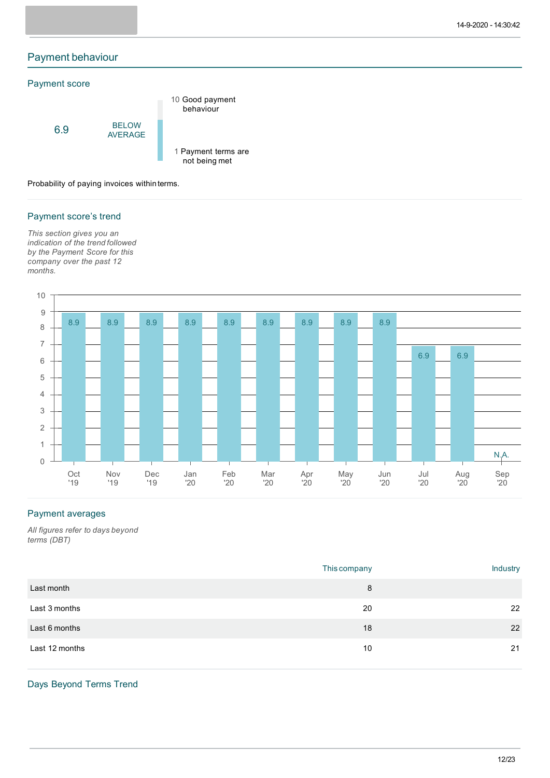# Payment behaviour

#### Payment score



Probability of paying invoices within terms.

### Payment score's trend

*This section gives you an indication of the trend followed by the Payment Score for this company over the past 12 months.*



# Payment averages

*All figures refer to days beyond terms (DBT)*

|                | This company | Industry |
|----------------|--------------|----------|
| Last month     | 8            |          |
| Last 3 months  | 20           | 22       |
| Last 6 months  | 18           | 22       |
| Last 12 months | 10           | 21       |

# Days Beyond Terms Trend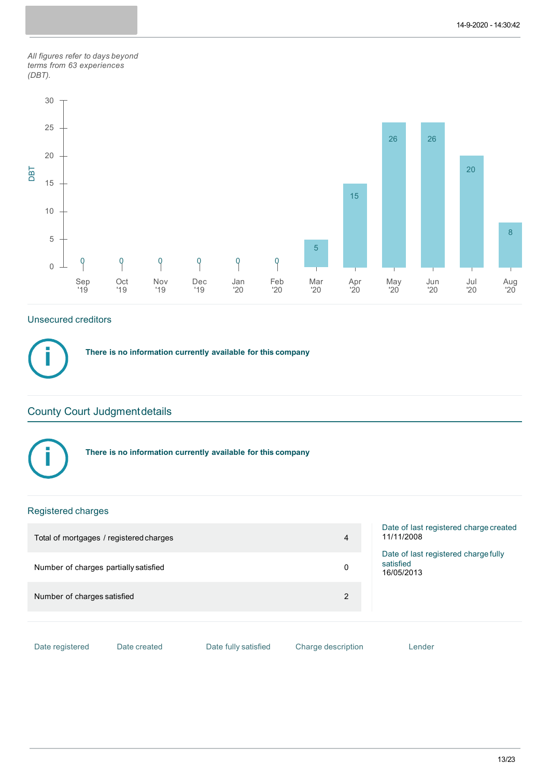*All figures refer to days beyond terms from 63 experiences (DBT).*



# Unsecured creditors

**There is no information currently available for this company**

# County Court Judgmentdetails



**i**

**There is no information currently available for this company**

# Registered charges

| Total of mortgages / registered charges |              |                      | 4                  | Date of last registered charge created<br>11/11/2008            |
|-----------------------------------------|--------------|----------------------|--------------------|-----------------------------------------------------------------|
| Number of charges partially satisfied   |              |                      | 0                  | Date of last registered charge fully<br>satisfied<br>16/05/2013 |
| Number of charges satisfied             |              |                      | 2                  |                                                                 |
| Date registered                         | Date created | Date fully satisfied | Charge description | Lender                                                          |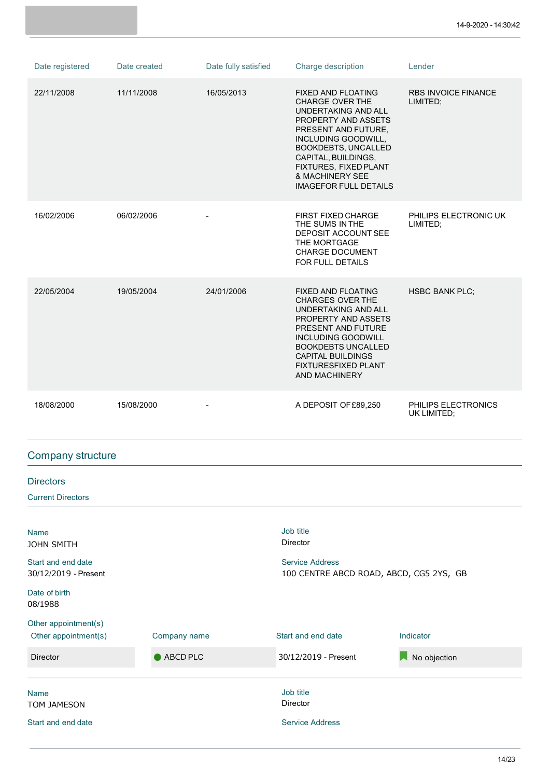| Date registered                                                                | Date created | Date fully satisfied | Charge description                                                                                                                                                                                                                                                                   | Lender                                 |
|--------------------------------------------------------------------------------|--------------|----------------------|--------------------------------------------------------------------------------------------------------------------------------------------------------------------------------------------------------------------------------------------------------------------------------------|----------------------------------------|
| 22/11/2008                                                                     | 11/11/2008   | 16/05/2013           | FIXED AND FLOATING<br><b>CHARGE OVER THE</b><br>UNDERTAKING AND ALL<br>PROPERTY AND ASSETS<br>PRESENT AND FUTURE,<br>INCLUDING GOODWILL,<br><b>BOOKDEBTS, UNCALLED</b><br>CAPITAL, BUILDINGS,<br>FIXTURES, FIXED PLANT<br><b>&amp; MACHINERY SEE</b><br><b>IMAGEFOR FULL DETAILS</b> | <b>RBS INVOICE FINANCE</b><br>LIMITED; |
| 16/02/2006                                                                     | 06/02/2006   | $\blacksquare$       | <b>FIRST FIXED CHARGE</b><br>THE SUMS IN THE<br>DEPOSIT ACCOUNT SEE<br>THE MORTGAGE<br><b>CHARGE DOCUMENT</b><br>FOR FULL DETAILS                                                                                                                                                    | PHILIPS ELECTRONIC UK<br>LIMITED;      |
| 22/05/2004                                                                     | 19/05/2004   | 24/01/2006           | FIXED AND FLOATING<br><b>CHARGES OVER THE</b><br>UNDERTAKING AND ALL<br>PROPERTY AND ASSETS<br>PRESENT AND FUTURE<br><b>INCLUDING GOODWILL</b><br><b>BOOKDEBTS UNCALLED</b><br><b>CAPITAL BUILDINGS</b><br>FIXTURESFIXED PLANT<br>AND MACHINERY                                      | <b>HSBC BANK PLC;</b>                  |
| 18/08/2000                                                                     | 15/08/2000   |                      | A DEPOSIT OF £89,250                                                                                                                                                                                                                                                                 | PHILIPS ELECTRONICS<br>UK LIMITED;     |
| <b>Company structure</b>                                                       |              |                      |                                                                                                                                                                                                                                                                                      |                                        |
| <b>Directors</b>                                                               |              |                      |                                                                                                                                                                                                                                                                                      |                                        |
|                                                                                |              |                      |                                                                                                                                                                                                                                                                                      |                                        |
| <b>Current Directors</b>                                                       |              |                      |                                                                                                                                                                                                                                                                                      |                                        |
| <b>Name</b><br><b>JOHN SMITH</b><br>Start and end date<br>30/12/2019 - Present |              |                      | Job title<br>Director<br><b>Service Address</b><br>100 CENTRE ABCD ROAD, ABCD, CG5 2YS, GB                                                                                                                                                                                           |                                        |
| Date of birth<br>08/1988                                                       |              |                      |                                                                                                                                                                                                                                                                                      |                                        |
| Other appointment(s)<br>Other appointment(s)                                   | Company name |                      | Start and end date                                                                                                                                                                                                                                                                   | Indicator                              |
| <b>Director</b>                                                                | ABCD PLC     |                      | 30/12/2019 - Present                                                                                                                                                                                                                                                                 | No objection                           |
| <b>Name</b><br>TOM JAMESON                                                     |              |                      | Job title<br>Director                                                                                                                                                                                                                                                                |                                        |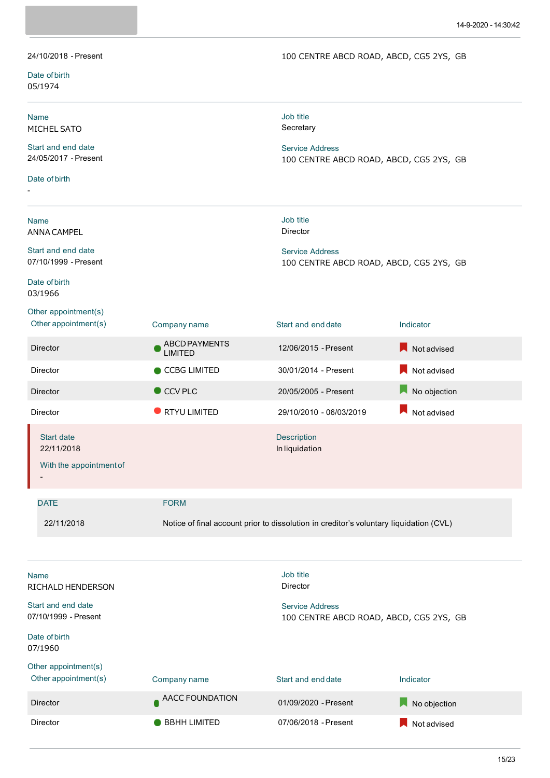100 CENTRE ABCD ROAD, ABCD, CG5 2YS, GB

| Date of birth<br>05/1974                                                 |                                        |                                                                                             |                   |
|--------------------------------------------------------------------------|----------------------------------------|---------------------------------------------------------------------------------------------|-------------------|
| <b>Name</b><br>MICHEL SATO<br>Start and end date<br>24/05/2017 - Present |                                        | Job title<br>Secretary<br><b>Service Address</b><br>100 CENTRE ABCD ROAD, ABCD, CG5 2YS, GB |                   |
| Date of birth                                                            |                                        |                                                                                             |                   |
| <b>Name</b><br>ANNA CAMPEL                                               |                                        | Job title<br>Director                                                                       |                   |
| Start and end date<br>07/10/1999 - Present<br>Date of birth              |                                        | <b>Service Address</b><br>100 CENTRE ABCD ROAD, ABCD, CG5 2YS, GB                           |                   |
| 03/1966                                                                  |                                        |                                                                                             |                   |
| Other appointment(s)<br>Other appointment(s)                             | Company name                           | Start and end date                                                                          | Indicator         |
| <b>Director</b>                                                          | <b>ABCD PAYMENTS</b><br><b>LIMITED</b> | 12/06/2015 - Present                                                                        | Not advised       |
| Director                                                                 | CCBG LIMITED                           | 30/01/2014 - Present                                                                        | Not advised       |
| <b>Director</b>                                                          | CCV PLC                                | 20/05/2005 - Present                                                                        | Д<br>No objection |
| Director                                                                 | RTYU LIMITED                           | 29/10/2010 - 06/03/2019                                                                     | Not advised       |
| <b>Start date</b><br>22/11/2018<br>With the appointment of               |                                        | <b>Description</b><br>In liquidation                                                        |                   |
| <b>DATE</b>                                                              | <b>FORM</b>                            |                                                                                             |                   |
| 22/11/2018                                                               |                                        | Notice of final account prior to dissolution in creditor's voluntary liquidation (CVL)      |                   |
| <b>Name</b><br>RICHALD HENDERSON                                         |                                        | Job title<br><b>Director</b>                                                                |                   |
| Start and end date<br>07/10/1999 - Present                               |                                        | <b>Service Address</b><br>100 CENTRE ABCD ROAD, ABCD, CG5 2YS, GB                           |                   |
| Date of birth<br>07/1960                                                 |                                        |                                                                                             |                   |
| Other appointment(s)<br>Other appointment(s)                             | Company name                           | Start and end date                                                                          | Indicator         |
| Director                                                                 | AACC FOUNDATION                        | 01/09/2020 - Present                                                                        | No objection      |

Director **Director** BBHH LIMITED 07/06/2018 - Present

24/10/2018 - Present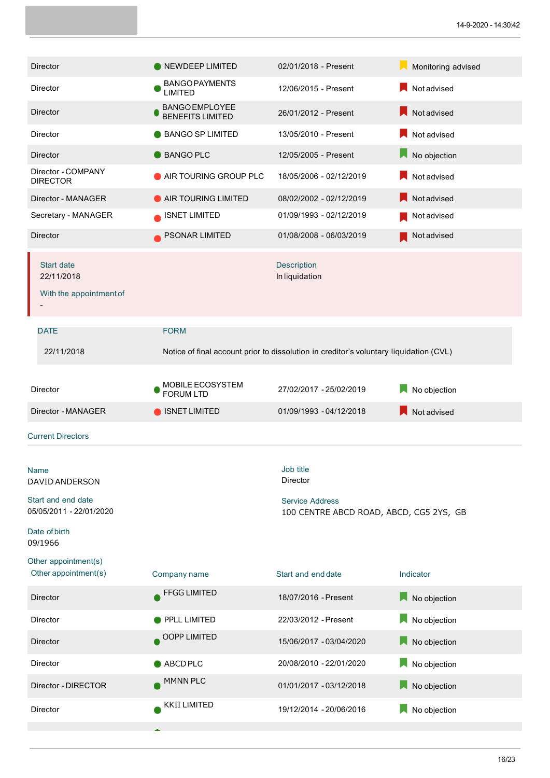| <b>Director</b>                                                                                     | NEWDEEP LIMITED                                  | 02/01/2018 - Present                                                                       | Monitoring advised |
|-----------------------------------------------------------------------------------------------------|--------------------------------------------------|--------------------------------------------------------------------------------------------|--------------------|
| Director                                                                                            | <b>BANGO PAYMENTS</b><br><b>LIMITED</b>          | 12/06/2015 - Present                                                                       | Not advised        |
| <b>Director</b>                                                                                     | <b>BANGO EMPLOYEE</b><br><b>BENEFITS LIMITED</b> | 26/01/2012 - Present                                                                       | Not advised        |
| Director                                                                                            | <b>BANGO SP LIMITED</b>                          | 13/05/2010 - Present                                                                       | Not advised        |
| <b>Director</b>                                                                                     | <b>BANGO PLC</b>                                 | 12/05/2005 - Present                                                                       | No objection<br>Ы  |
| Director - COMPANY<br><b>DIRECTOR</b>                                                               | AIR TOURING GROUP PLC                            | 18/05/2006 - 02/12/2019                                                                    | Not advised        |
| Director - MANAGER                                                                                  | AIR TOURING LIMITED                              | 08/02/2002 - 02/12/2019                                                                    | Not advised        |
| Secretary - MANAGER                                                                                 | <b>ISNET LIMITED</b>                             | 01/09/1993 - 02/12/2019                                                                    | Not advised        |
| Director                                                                                            | PSONAR LIMITED                                   | 01/08/2008 - 06/03/2019                                                                    | Not advised        |
| <b>Start date</b><br>22/11/2018<br>With the appointment of                                          |                                                  | <b>Description</b><br>In liquidation                                                       |                    |
| <b>DATE</b>                                                                                         | <b>FORM</b>                                      |                                                                                            |                    |
| 22/11/2018                                                                                          |                                                  | Notice of final account prior to dissolution in creditor's voluntary liquidation (CVL)     |                    |
|                                                                                                     | MOBILE ECOSYSTEM                                 |                                                                                            |                    |
|                                                                                                     |                                                  |                                                                                            |                    |
| Director                                                                                            | <b>FORUM LTD</b>                                 | 27/02/2017 - 25/02/2019                                                                    | No objection       |
| Director - MANAGER                                                                                  | <b>ISNET LIMITED</b>                             | 01/09/1993 - 04/12/2018                                                                    | Not advised        |
| <b>Current Directors</b>                                                                            |                                                  |                                                                                            |                    |
| Name<br>DAVID ANDERSON<br>Start and end date<br>05/05/2011 - 22/01/2020<br>Date of birth<br>09/1966 |                                                  | Job title<br>Director<br><b>Service Address</b><br>100 CENTRE ABCD ROAD, ABCD, CG5 2YS, GB |                    |
| Other appointment(s)<br>Other appointment(s)                                                        | Company name                                     | Start and end date                                                                         | Indicator          |
| Director                                                                                            | <b>FFGG LIMITED</b>                              | 18/07/2016 - Present                                                                       | No objection       |
| Director                                                                                            | PPLL LIMITED                                     | 22/03/2012 - Present                                                                       | No objection       |
| <b>Director</b>                                                                                     | OOPP LIMITED                                     | 15/06/2017 - 03/04/2020                                                                    | No objection       |
| Director                                                                                            | ABCDPLC                                          | 20/08/2010 - 22/01/2020                                                                    | No objection       |
| Director - DIRECTOR                                                                                 | MMNN PLC                                         | 01/01/2017 - 03/12/2018                                                                    | No objection       |
| Director                                                                                            | <b>KKII LIMITED</b>                              | 19/12/2014 - 20/06/2016                                                                    | No objection       |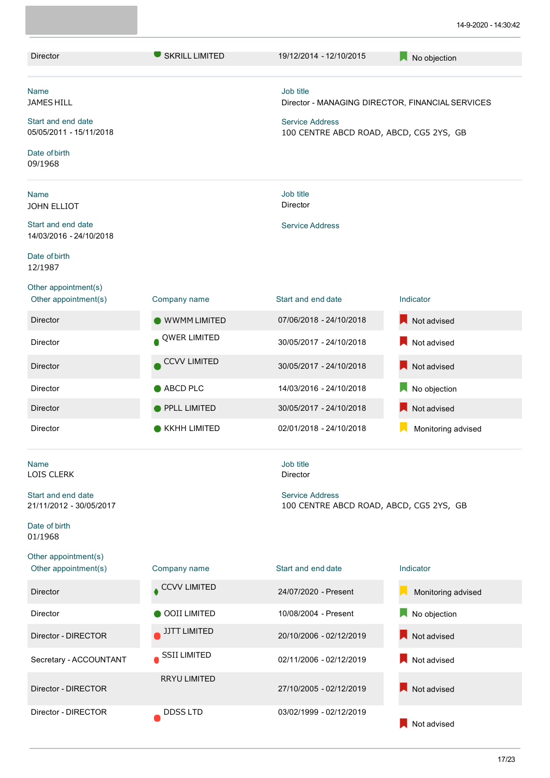| <b>Director</b>                                                                                         | <b>SKRILL LIMITED</b> | 19/12/2014 - 12/10/2015                                                                    | No objection                                     |
|---------------------------------------------------------------------------------------------------------|-----------------------|--------------------------------------------------------------------------------------------|--------------------------------------------------|
| <b>Name</b><br>JAMES HILL<br>Start and end date<br>05/05/2011 - 15/11/2018<br>Date of birth<br>09/1968  |                       | Job title<br><b>Service Address</b><br>100 CENTRE ABCD ROAD, ABCD, CG5 2YS, GB             | Director - MANAGING DIRECTOR, FINANCIAL SERVICES |
| <b>Name</b><br>JOHN ELLIOT<br>Start and end date<br>14/03/2016 - 24/10/2018<br>Date of birth<br>12/1987 |                       | Job title<br>Director<br><b>Service Address</b>                                            |                                                  |
| Other appointment(s)<br>Other appointment(s)                                                            | Company name          | Start and end date                                                                         | Indicator                                        |
| <b>Director</b>                                                                                         | <b>WWMM LIMITED</b>   | 07/06/2018 - 24/10/2018                                                                    | Not advised                                      |
| <b>Director</b>                                                                                         | QWER LIMITED          | 30/05/2017 - 24/10/2018                                                                    | Not advised                                      |
| <b>Director</b>                                                                                         | <b>CCVV LIMITED</b>   | 30/05/2017 - 24/10/2018                                                                    | Not advised                                      |
| <b>Director</b>                                                                                         | ABCD PLC              | 14/03/2016 - 24/10/2018                                                                    | No objection                                     |
| Director                                                                                                | PPLL LIMITED          | 30/05/2017 - 24/10/2018                                                                    | Not advised                                      |
| <b>Director</b>                                                                                         | <b>KKHH LIMITED</b>   | 02/01/2018 - 24/10/2018                                                                    | Monitoring advised                               |
| <b>Name</b><br>LOIS CLERK<br>Start and end date<br>21/11/2012 - 30/05/2017<br>Date of birth<br>01/1968  |                       | Job title<br>Director<br><b>Service Address</b><br>100 CENTRE ABCD ROAD, ABCD, CG5 2YS, GB |                                                  |
| Other appointment(s)<br>Other appointment(s)                                                            | Company name          | Start and end date                                                                         | Indicator                                        |
| <b>Director</b>                                                                                         | CCVV LIMITED          | 24/07/2020 - Present                                                                       | Monitoring advised                               |
| Director                                                                                                | <b>OOII LIMITED</b>   | 10/08/2004 - Present                                                                       | No objection                                     |
| Director - DIRECTOR                                                                                     | <b>JJTT LIMITED</b>   | 20/10/2006 - 02/12/2019                                                                    | Not advised                                      |
| Secretary - ACCOUNTANT                                                                                  | <b>SSII LIMITED</b>   | 02/11/2006 - 02/12/2019                                                                    | Not advised                                      |
| Director - DIRECTOR                                                                                     | <b>RRYU LIMITED</b>   | 27/10/2005 - 02/12/2019                                                                    | Not advised                                      |
| Director - DIRECTOR                                                                                     | DDSS LTD              | 03/02/1999 - 02/12/2019                                                                    | Not advised                                      |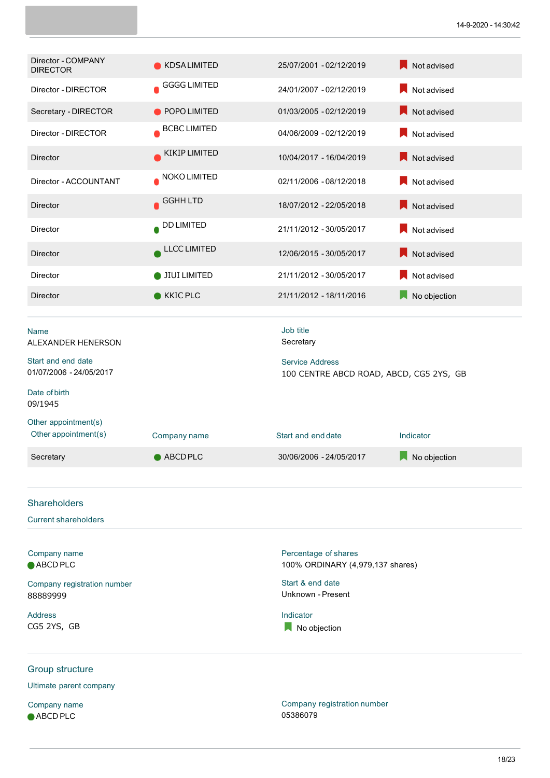| Director - COMPANY<br><b>DIRECTOR</b>         | <b>KDSALIMITED</b>  | 25/07/2001 - 02/12/2019                                           | Not advised  |
|-----------------------------------------------|---------------------|-------------------------------------------------------------------|--------------|
| Director - DIRECTOR                           | <b>GGGG LIMITED</b> | 24/01/2007 - 02/12/2019                                           | Not advised  |
| Secretary - DIRECTOR                          | POPO LIMITED        | 01/03/2005 - 02/12/2019                                           | Not advised  |
| Director - DIRECTOR                           | <b>BCBC LIMITED</b> | 04/06/2009 - 02/12/2019                                           | Not advised  |
| <b>Director</b>                               | KIKIP LIMITED       | 10/04/2017 - 16/04/2019                                           | Not advised  |
| Director - ACCOUNTANT                         | NOKO LIMITED        | 02/11/2006 - 08/12/2018                                           | Not advised  |
| Director                                      | <b>GGHH LTD</b>     | 18/07/2012 - 22/05/2018                                           | Not advised  |
| <b>Director</b>                               | <b>DD LIMITED</b>   | 21/11/2012 - 30/05/2017                                           | Not advised  |
| Director                                      | <b>LLCC LIMITED</b> | 12/06/2015 - 30/05/2017                                           | Not advised  |
| Director                                      | <b>JIUI LIMITED</b> | 21/11/2012 - 30/05/2017                                           | Not advised  |
| Director                                      | KKIC PLC            | 21/11/2012 - 18/11/2016                                           | No objection |
| Name<br>ALEXANDER HENERSON                    |                     | Job title<br>Secretary                                            |              |
| Start and end date<br>01/07/2006 - 24/05/2017 |                     | <b>Service Address</b><br>100 CENTRE ABCD ROAD, ABCD, CG5 2YS, GB |              |
| Date of birth<br>09/1945                      |                     |                                                                   |              |
| Other appointment(s)<br>Other appointment(s)  | Company name        | Start and end date                                                | Indicator    |
| Secretary                                     | ABCDPLC             | 30/06/2006 - 24/05/2017                                           | No objection |
|                                               |                     |                                                                   |              |
| <b>Shareholders</b>                           |                     |                                                                   |              |
| <b>Current shareholders</b>                   |                     |                                                                   |              |
| Company name<br>ABCD PLC                      |                     | Percentage of shares<br>100% ORDINARY (4,979,137 shares)          |              |
| Company registration number                   |                     | Start & end date                                                  |              |
| 88889999                                      |                     | Unknown - Present                                                 |              |
| <b>Address</b><br>CG5 2YS, GB                 |                     | Indicator<br>No objection                                         |              |
| Group structure                               |                     |                                                                   |              |
| Ultimate parent company                       |                     |                                                                   |              |

Company name ● ABCD PLC

Company registration number 05386079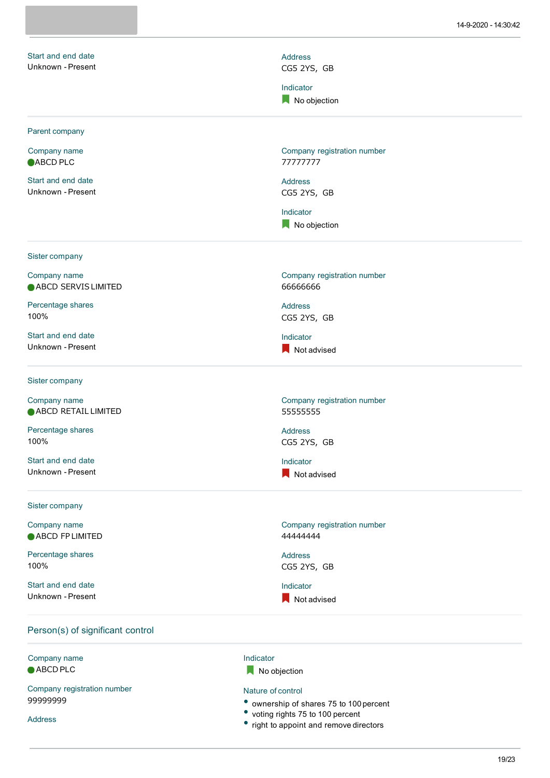|                                  | 14-9-2020 - 14:30:42        |
|----------------------------------|-----------------------------|
| Start and end date               | Address                     |
| Unknown - Present                | CG5 2YS, GB                 |
|                                  | Indicator                   |
|                                  | No objection                |
|                                  |                             |
| Parent company                   |                             |
| Company name                     | Company registration number |
| ABCD PLC                         | 77777777                    |
| Start and end date               | <b>Address</b>              |
| Unknown - Present                | CG5 2YS, GB                 |
|                                  | Indicator                   |
|                                  | No objection                |
| Sister company                   |                             |
| Company name                     | Company registration number |
| ABCD SERVIS LIMITED              | 6666666                     |
| Percentage shares                | <b>Address</b>              |
| 100%                             | CG5 2YS, GB                 |
| Start and end date               | Indicator                   |
| Unknown - Present                | Not advised                 |
|                                  |                             |
| Sister company                   |                             |
| Company name                     | Company registration number |
| ABCD RETAIL LIMITED              | 55555555                    |
| Percentage shares                | <b>Address</b>              |
| 100%                             | CG5 2YS, GB                 |
| Start and end date               | Indicator                   |
| Unknown - Present                | Not advised                 |
| Sister company                   |                             |
| Company name                     | Company registration number |
| ABCD FP LIMITED                  | 44444444                    |
| Percentage shares                | <b>Address</b>              |
| 100%                             | CG5 2YS, GB                 |
| Start and end date               | Indicator                   |
| Unknown - Present                | Not advised                 |
| Person(s) of significant control |                             |
| Company name                     | Indicator                   |
| ABCD PLC                         | No objection                |

Company registration number 99999999

Address

No objection

#### Nature of control

- ownership of shares <sup>75</sup> to <sup>100</sup> percent
- voting rights 75 to 100 percent
- right to appoint and remove directors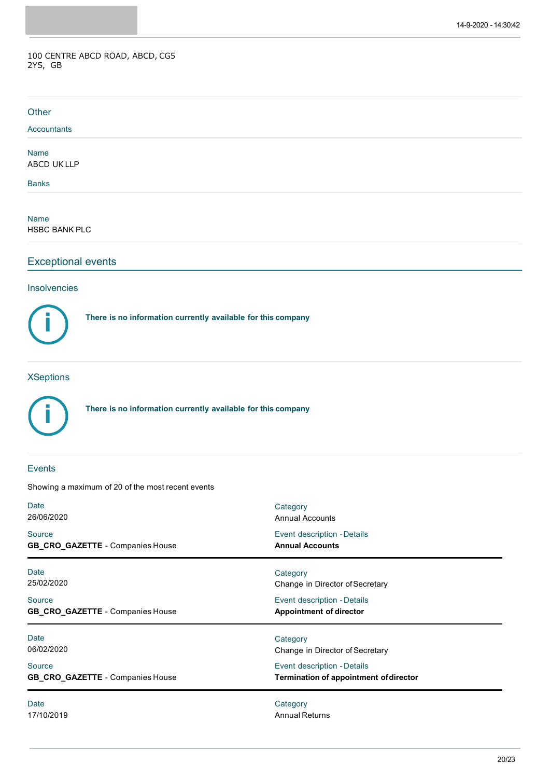#### 100 CENTRE ABCD ROAD, ABCD, CG5 2YS, GB

| Other                                                              |                                                                              |  |  |
|--------------------------------------------------------------------|------------------------------------------------------------------------------|--|--|
| Accountants                                                        |                                                                              |  |  |
| <b>Name</b><br>ABCD UK LLP                                         |                                                                              |  |  |
| <b>Banks</b>                                                       |                                                                              |  |  |
| <b>Name</b><br><b>HSBC BANK PLC</b>                                |                                                                              |  |  |
| <b>Exceptional events</b>                                          |                                                                              |  |  |
| Insolvencies                                                       |                                                                              |  |  |
| There is no information currently available for this company       |                                                                              |  |  |
| There is no information currently available for this company       |                                                                              |  |  |
| <b>Events</b><br>Showing a maximum of 20 of the most recent events |                                                                              |  |  |
| Date<br>26/06/2020                                                 | Category<br><b>Annual Accounts</b>                                           |  |  |
| Source<br>GB_CRO_GAZETTE - Companies House                         | Event description - Details<br><b>Annual Accounts</b>                        |  |  |
| Date<br>25/02/2020                                                 | Category<br>Change in Director of Secretary                                  |  |  |
| Source<br>GB_CRO_GAZETTE - Companies House                         | Event description - Details<br><b>Appointment of director</b>                |  |  |
| <b>Date</b><br>06/02/2020                                          | Category<br>Change in Director of Secretary                                  |  |  |
| Source<br>GB_CRO_GAZETTE - Companies House                         | Event description - Details<br><b>Termination of appointment of director</b> |  |  |
| Date<br>17/10/2019                                                 | Category<br><b>Annual Returns</b>                                            |  |  |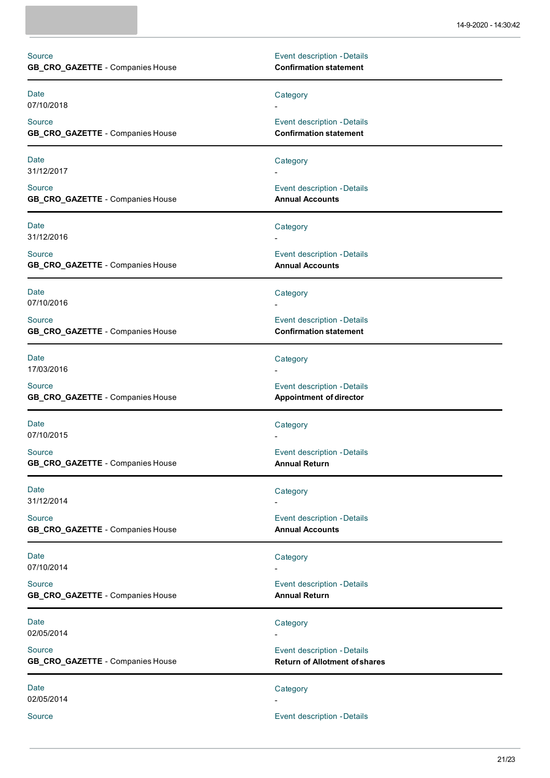| Source<br>GB_CRO_GAZETTE - Companies House | Event description - Details<br><b>Confirmation statement</b>        |
|--------------------------------------------|---------------------------------------------------------------------|
| Date<br>07/10/2018                         | Category                                                            |
| Source<br>GB_CRO_GAZETTE - Companies House | Event description - Details<br><b>Confirmation statement</b>        |
| <b>Date</b><br>31/12/2017                  | Category                                                            |
| Source<br>GB_CRO_GAZETTE - Companies House | Event description - Details<br><b>Annual Accounts</b>               |
| <b>Date</b><br>31/12/2016                  | Category                                                            |
| Source<br>GB_CRO_GAZETTE - Companies House | Event description - Details<br><b>Annual Accounts</b>               |
| <b>Date</b><br>07/10/2016                  | Category                                                            |
| Source<br>GB_CRO_GAZETTE - Companies House | Event description - Details<br><b>Confirmation statement</b>        |
| <b>Date</b><br>17/03/2016                  | Category                                                            |
| Source<br>GB_CRO_GAZETTE - Companies House | Event description - Details<br><b>Appointment of director</b>       |
| Date<br>07/10/2015                         | Category                                                            |
| Source<br>GB_CRO_GAZETTE - Companies House | Event description - Details<br><b>Annual Return</b>                 |
| <b>Date</b><br>31/12/2014                  | Category                                                            |
| Source<br>GB_CRO_GAZETTE - Companies House | Event description - Details<br><b>Annual Accounts</b>               |
| <b>Date</b><br>07/10/2014                  | Category                                                            |
| Source<br>GB_CRO_GAZETTE - Companies House | Event description - Details<br><b>Annual Return</b>                 |
| <b>Date</b><br>02/05/2014                  | Category                                                            |
| Source<br>GB_CRO_GAZETTE - Companies House | Event description - Details<br><b>Return of Allotment of shares</b> |
| <b>Date</b><br>02/05/2014                  | Category                                                            |
| Source                                     | Event description - Details                                         |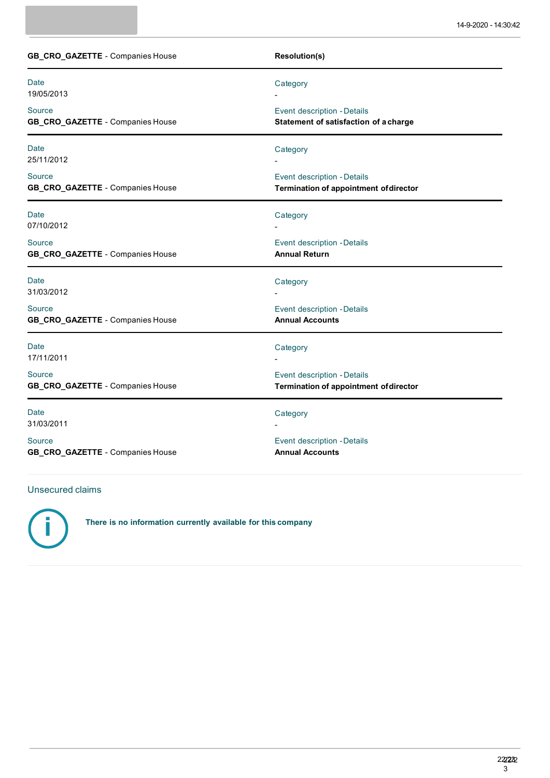| GB_CRO_GAZETTE - Companies House                  | <b>Resolution(s)</b>                                                         |
|---------------------------------------------------|------------------------------------------------------------------------------|
| <b>Date</b><br>19/05/2013                         | Category                                                                     |
| Source<br>GB_CRO_GAZETTE - Companies House        | Event description - Details<br>Statement of satisfaction of a charge         |
| Date<br>25/11/2012                                | Category                                                                     |
| Source<br><b>GB_CRO_GAZETTE - Companies House</b> | Event description - Details<br><b>Termination of appointment of director</b> |
| Date<br>07/10/2012                                | Category                                                                     |
| Source<br><b>GB_CRO_GAZETTE - Companies House</b> | Event description - Details<br><b>Annual Return</b>                          |
| Date<br>31/03/2012                                | Category                                                                     |
| Source<br><b>GB_CRO_GAZETTE - Companies House</b> | Event description - Details<br><b>Annual Accounts</b>                        |
| Date<br>17/11/2011                                | Category                                                                     |
| Source<br><b>GB_CRO_GAZETTE - Companies House</b> | Event description - Details<br><b>Termination of appointment of director</b> |
| Date<br>31/03/2011                                | Category                                                                     |
| Source<br>GB_CRO_GAZETTE - Companies House        | Event description - Details<br><b>Annual Accounts</b>                        |

# Unsecured claims



**There is no information currently available for this company**